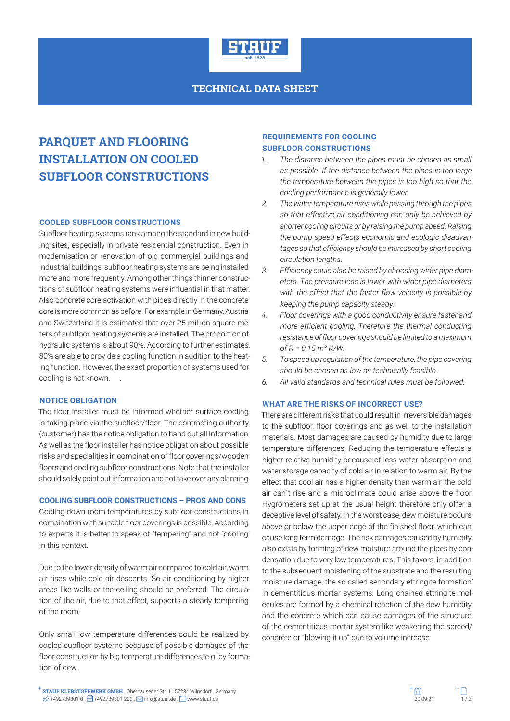

# **TECHNICAL DATA SHEET**

# **PARQUET AND FLOORING INSTALLATION ON COOLED SUBFLOOR CONSTRUCTIONS**

### **COOLED SUBFLOOR CONSTRUCTIONS**

Subfloor heating systems rank among the standard in new building sites, especially in private residential construction. Even in modernisation or renovation of old commercial buildings and industrial buildings, subfloor heating systems are being installed more and more frequently. Among other things thinner constructions of subfloor heating systems were influential in that matter. Also concrete core activation with pipes directly in the concrete core is more common as before. For example in Germany, Austria and Switzerland it is estimated that over 25 million square meters of subfloor heating systems are installed. The proportion of hydraulic systems is about 90%. According to further estimates, 80% are able to provide a cooling function in addition to the heating function. However, the exact proportion of systems used for cooling is not known.

## **NOTICE OBLIGATION**

The floor installer must be informed whether surface cooling is taking place via the subfloor/floor. The contracting authority (customer) has the notice obligation to hand out all Information. As well as the floor installer has notice obligation about possible risks and specialities in combination of floor coverings/wooden floors and cooling subfloor constructions. Note that the installer should solely point out information and not take over any planning.

#### **COOLING SUBFLOOR CONSTRUCTIONS – PROS AND CONS**

Cooling down room temperatures by subfloor constructions in combination with suitable floor coverings is possible. According to experts it is better to speak of "tempering" and not "cooling" in this context.

Due to the lower density of warm air compared to cold air, warm air rises while cold air descents. So air conditioning by higher areas like walls or the ceiling should be preferred. The circulation of the air, due to that effect, supports a steady tempering of the room.

Only small low temperature differences could be realized by cooled subfloor systems because of possible damages of the floor construction by big temperature differences, e.g. by formation of dew.

#### **REQUIREMENTS FOR COOLING SUBFLOOR CONSTRUCTIONS**

- *1. The distance between the pipes must be chosen as small as possible. If the distance between the pipes is too large, the temperature between the pipes is too high so that the cooling performance is generally lower.*
- *2. The water temperature rises while passing through the pipes so that effective air conditioning can only be achieved by shorter cooling circuits or by raising the pump speed. Raising the pump speed effects economic and ecologic disadvantages so that efficiency should be increased by short cooling circulation lengths.*
- *3. Efficiency could also be raised by choosing wider pipe diameters. The pressure loss is lower with wider pipe diameters with the effect that the faster flow velocity is possible by keeping the pump capacity steady.*
- *4. Floor coverings with a good conductivity ensure faster and more efficient cooling. Therefore the thermal conducting resistance of floor coverings should be limited to a maximum of R = 0,15 m² K/W.*
- *5. To speed up regulation of the temperature, the pipe covering should be chosen as low as technically feasible.*
- *6. All valid standards and technical rules must be followed.*

#### **WHAT ARE THE RISKS OF INCORRECT USE?**

There are different risks that could result in irreversible damages to the subfloor, floor coverings and as well to the installation materials. Most damages are caused by humidity due to large temperature differences. Reducing the temperature effects a higher relative humidity because of less water absorption and water storage capacity of cold air in relation to warm air. By the effect that cool air has a higher density than warm air, the cold air can´t rise and a microclimate could arise above the floor. Hygrometers set up at the usual height therefore only offer a deceptive level of safety. In the worst case, dew moisture occurs above or below the upper edge of the finished floor, which can cause long term damage. The risk damages caused by humidity also exists by forming of dew moisture around the pipes by condensation due to very low temperatures. This favors, in addition to the subsequent moistening of the substrate and the resulting moisture damage, the so called secondary ettringite formation" in cementitious mortar systems. Long chained ettringite molecules are formed by a chemical reaction of the dew humidity and the concrete which can cause damages of the structure of the cementitious mortar system like weakening the screed/ concrete or "blowing it up" due to volume increase.

**STAUF KLEBSTOFFWERK GMBH** . Oberhausener Str. 1 . 57234 Wilnsdorf . Germany  $+492739301-0$  .  $+492739301-200$  .  $\Box$  info@stauf.de .  $\Box$  www.stauf.de . www.stauf.de . www.stauf.de . www.stauf.de . www.stauf.de . www.stauf.de . www.stauf.de . www.stauf.de .  $\Box$  / 20.09.21 1/ 2